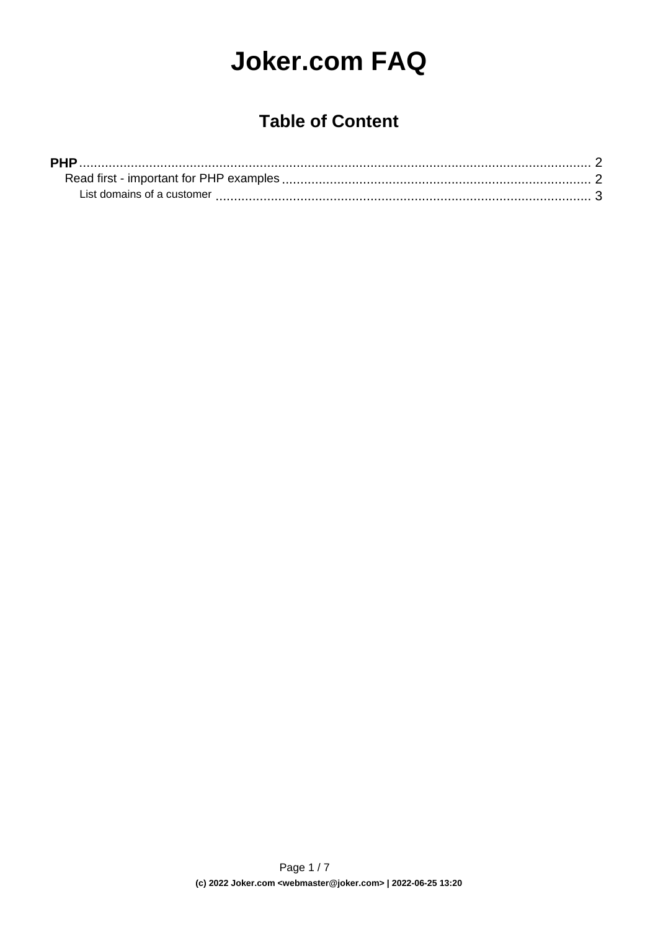# **Joker.com FAQ**

## **Table of Content**

| <b>PHP</b>                 |  |
|----------------------------|--|
|                            |  |
| List domains of a customer |  |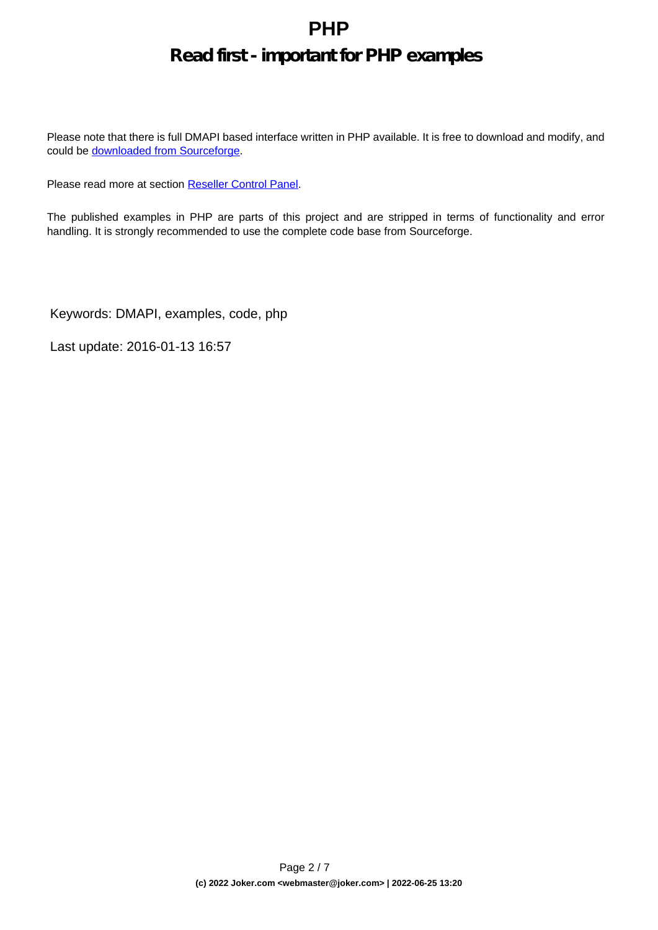#### **Read first - important for PHP examples**

<span id="page-1-0"></span>Please note that there is full DMAPI based interface written in PHP available. It is free to download and modify, and could be **downloaded** from Sourceforge.

Please read more at section [Reseller Control Panel.](index.php?action=artikel&cat=32&id=44&artlang=en)

The published examples in PHP are parts of this project and are stripped in terms of functionality and error handling. It is strongly recommended to use the complete code base from Sourceforge.

Keywords: DMAPI, examples, code, php

Last update: 2016-01-13 16:57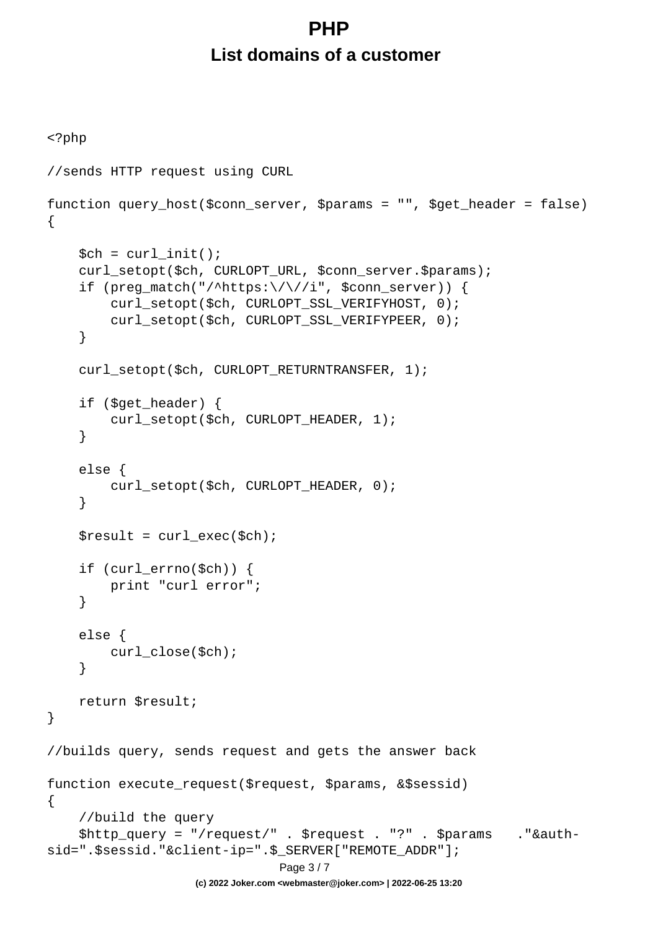# **PHP List domains of a customer**

```
<?php
//sends HTTP request using CURL
function query_host($conn_server, $params = "", $get_header = false)
{
    $ch = curl_init();
     curl_setopt($ch, CURLOPT_URL, $conn_server.$params);
     if (preg_match("/^https:\/\//i", $conn_server)) {
         curl_setopt($ch, CURLOPT_SSL_VERIFYHOST, 0);
         curl_setopt($ch, CURLOPT_SSL_VERIFYPEER, 0);
     }
    curl_setopt($ch, CURLOPT_RETURNTRANSFER, 1);
     if ($get_header) {
        curl_setopt($ch, CURLOPT_HEADER, 1);
     }
     else {
         curl_setopt($ch, CURLOPT_HEADER, 0);
     }
    $result = curl\_exec({\text{5ch}}); if (curl_errno($ch)) {
         print "curl error";
     }
     else {
         curl_close($ch);
     }
     return $result;
}
//builds query, sends request and gets the answer back
function execute_request($request, $params, &$sessid)
{
     //build the query
     $http_query = "/request/" . $request . "?" . $params ."&auth-
sid=".$sessid."&client-ip=".$_SERVER["REMOTE_ADDR"];
                                Page 3 / 7
                    (c) 2022 Joker.com <webmaster@joker.com> | 2022-06-25 13:20
```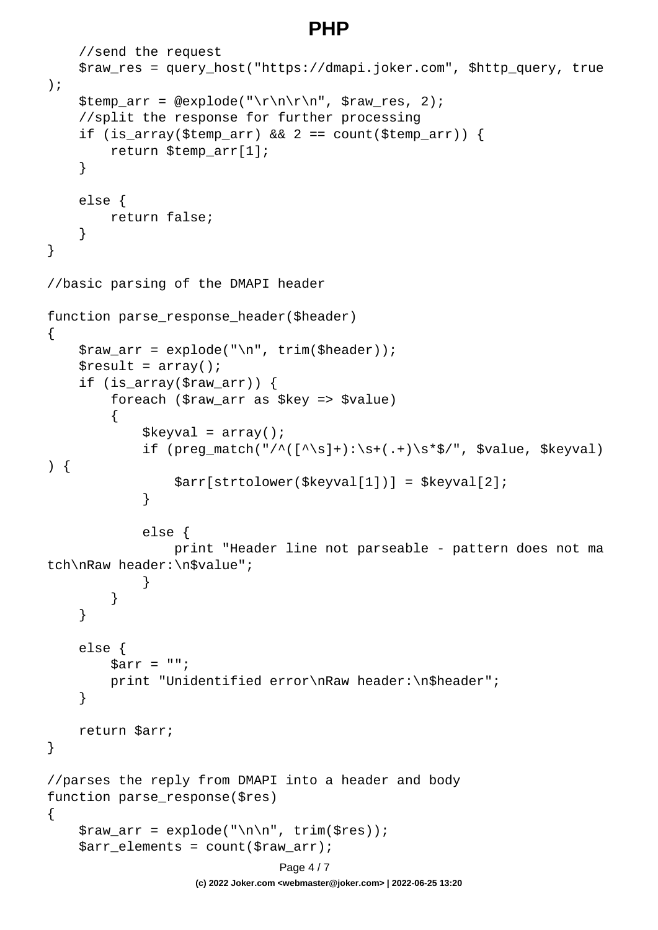```
 //send the request
     $raw_res = query_host("https://dmapi.joker.com", $http_query, true
);
     $temp_arr = @explode("\r\n\r\n", $raw_res, 2);
     //split the response for further processing
    if (is_array($temp_arr) && 2 == count($temp_arr)) {
         return $temp_arr[1];
     }
     else {
         return false;
     }
}
//basic parsing of the DMAPI header
function parse_response_header($header)
\{$raw_arr = explode("n", trim({Sheader}));$result = array();
     if (is_array($raw_arr)) {
         foreach ($raw_arr as $key => $value)
\{$keyval = array();
            if (preg_match("/^([^\s]+):\s+(.+)\s*$/", $value, $keyval)
) {
                 $arr[strtolower($keyval[1])] = $keyval[2];
 }
             else {
                 print "Header line not parseable - pattern does not ma
tch\nRaw header:\n$value";
 }
 }
     }
     else {
        \text{Sarr} = " " print "Unidentified error\nRaw header:\n$header";
     }
    return $arr;
}
//parses the reply from DMAPI into a header and body
function parse_response($res)
\{$raw_arr = explode('\\n\\n", trim(Sres)); $arr_elements = count($raw_arr);
                              Page 4 / 7
```
**(c) 2022 Joker.com <webmaster@joker.com> | 2022-06-25 13:20**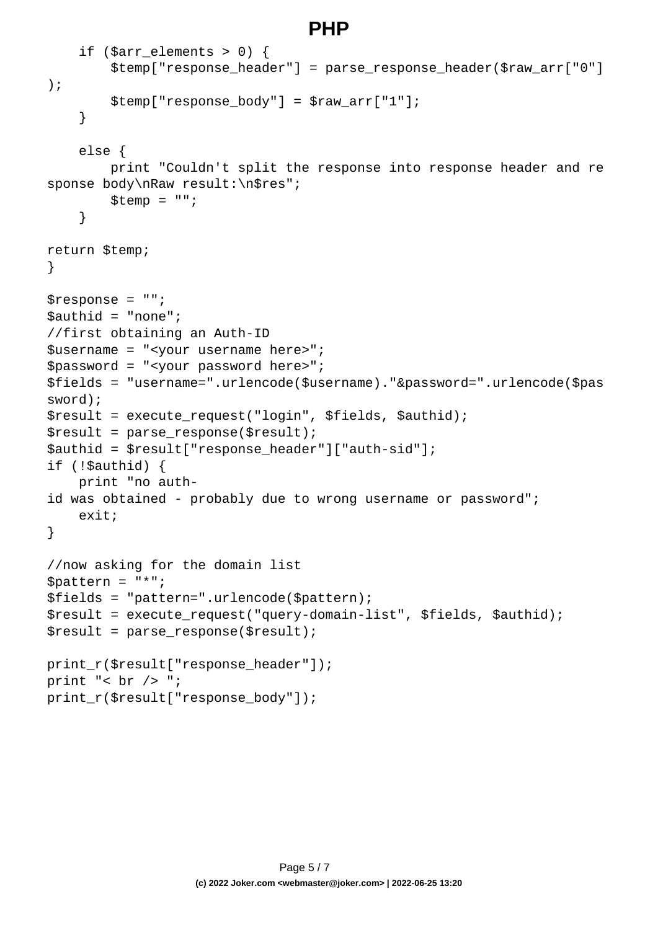```
if ($arr elements > 0) {
         $temp["response_header"] = parse_response_header($raw_arr["0"]
);
        $temp['response body"] = $raw arr['1"]; }
     else {
         print "Couldn't split the response into response header and re
sponse body\nRaw result:\n$res";
        $temp = ""; }
return $temp;
}
$response = "";
$authid = "none";
//first obtaining an Auth-ID
$username = "<your username here>";
$password = "<your password here>";
$fields = "username=".urlencode($username)."&password=".urlencode($pas
sword);
$result = execute_request("login", $fields, $authid);
$result = parse response(Sresult);$authid = $result["response_header"]["auth-sid"];
if (!$authid) {
    print "no auth-
id was obtained - probably due to wrong username or password";
     exit;
}
//now asking for the domain list
$pattern = "*";
$fields = "pattern=".urlencode($pattern);
$result = execute_request("query-domain-list", $fields, $authid);
$result = parse_response($result);
print_r($result["response_header"]);
print "< br /> ";
print_r($result["response_body"]);
```